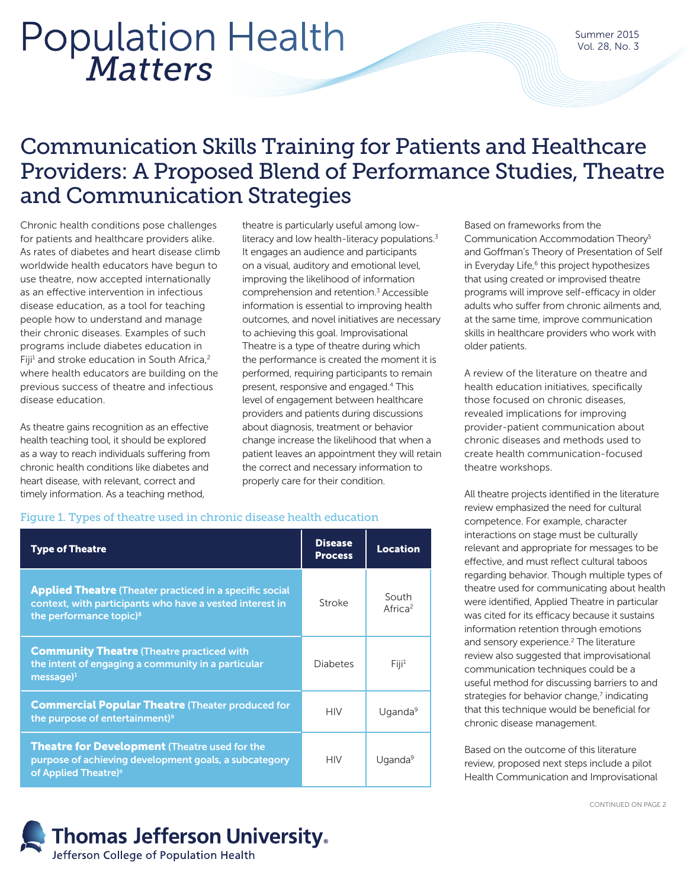# *Matters* Population Health

Summer 2015 Vol. 28, No. 3

## Communication Skills Training for Patients and Healthcare Providers: A Proposed Blend of Performance Studies, Theatre and Communication Strategies

Chronic health conditions pose challenges for patients and healthcare providers alike. As rates of diabetes and heart disease climb worldwide health educators have begun to use theatre, now accepted internationally as an effective intervention in infectious disease education, as a tool for teaching people how to understand and manage their chronic diseases. Examples of such programs include diabetes education in Fiji<sup>1</sup> and stroke education in South Africa,<sup>2</sup> where health educators are building on the previous success of theatre and infectious disease education.

As theatre gains recognition as an effective health teaching tool, it should be explored as a way to reach individuals suffering from chronic health conditions like diabetes and heart disease, with relevant, correct and timely information. As a teaching method,

theatre is particularly useful among lowliteracy and low health-literacy populations.<sup>3</sup> It engages an audience and participants on a visual, auditory and emotional level, improving the likelihood of information comprehension and retention.<sup>3</sup> Accessible information is essential to improving health outcomes, and novel initiatives are necessary to achieving this goal. Improvisational Theatre is a type of theatre during which the performance is created the moment it is performed, requiring participants to remain present, responsive and engaged.4 This level of engagement between healthcare providers and patients during discussions about diagnosis, treatment or behavior change increase the likelihood that when a patient leaves an appointment they will retain the correct and necessary information to properly care for their condition.

## Figure 1. Types of theatre used in chronic disease health education

| <b>Type of Theatre</b>                                                                                                                                            | <b>Disease</b><br><b>Process</b> | <b>Location</b>              |
|-------------------------------------------------------------------------------------------------------------------------------------------------------------------|----------------------------------|------------------------------|
| <b>Applied Theatre (Theater practiced in a specific social</b><br>context, with participants who have a vested interest in<br>the performance topic) <sup>8</sup> | Stroke                           | South<br>Africa <sup>2</sup> |
| <b>Community Theatre (Theatre practiced with</b><br>the intent of engaging a community in a particular<br>$message)^1$                                            | Diabetes                         | Fiii <sup>1</sup>            |
| <b>Commercial Popular Theatre (Theater produced for</b><br>the purpose of entertainment) <sup>9</sup>                                                             | <b>HIV</b>                       | Uganda <sup>9</sup>          |
| <b>Theatre for Development (Theatre used for the</b><br>purpose of achieving development goals, a subcategory<br>of Applied Theatre) <sup>9</sup>                 | <b>HIV</b>                       | Uganda <sup>9</sup>          |

**Thomas Jefferson University.** Jefferson College of Population Health

Based on frameworks from the Communication Accommodation Theory5 and Goffman's Theory of Presentation of Self in Everyday Life,<sup>6</sup> this project hypothesizes that using created or improvised theatre programs will improve self-efficacy in older adults who suffer from chronic ailments and, at the same time, improve communication skills in healthcare providers who work with older patients.

A review of the literature on theatre and health education initiatives, specifically those focused on chronic diseases, revealed implications for improving provider-patient communication about chronic diseases and methods used to create health communication-focused theatre workshops.

All theatre projects identified in the literature review emphasized the need for cultural competence. For example, character interactions on stage must be culturally relevant and appropriate for messages to be effective, and must reflect cultural taboos regarding behavior. Though multiple types of theatre used for communicating about health were identified, Applied Theatre in particular was cited for its efficacy because it sustains information retention through emotions and sensory experience.<sup>2</sup> The literature review also suggested that improvisational communication techniques could be a useful method for discussing barriers to and strategies for behavior change,<sup>7</sup> indicating that this technique would be beneficial for chronic disease management.

Based on the outcome of this literature review, proposed next steps include a pilot Health Communication and Improvisational